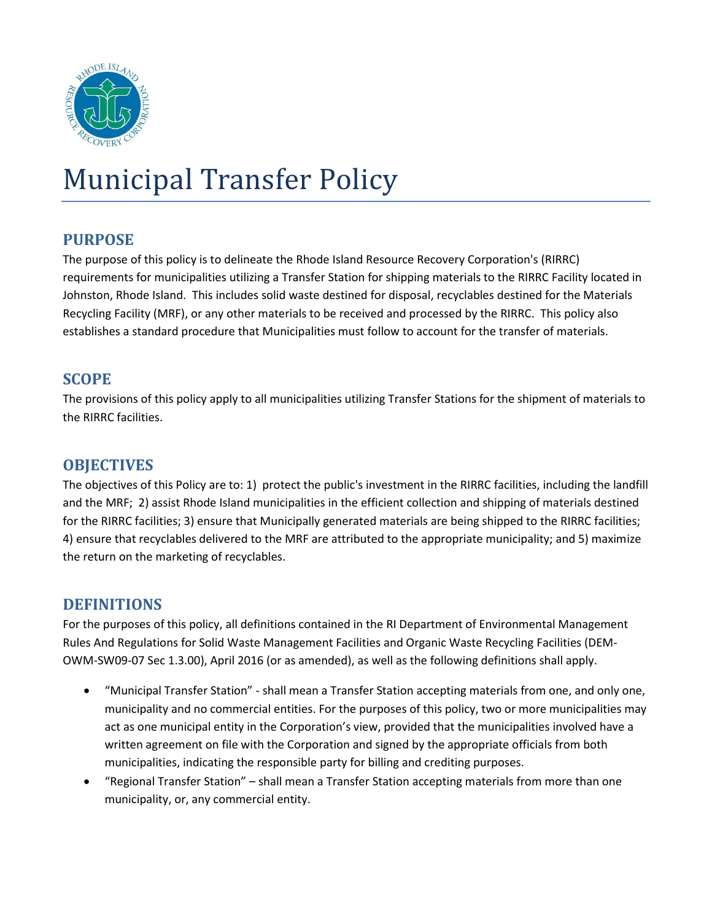

# Municipal Transfer Policy

## **PURPOSE**

The purpose of this policy is to delineate the Rhode Island Resource Recovery Corporation's (RIRRC) requirements for municipalities utilizing a Transfer Station for shipping materials to the RIRRC Facility located in Johnston, Rhode Island. This includes solid waste destined for disposal, recyclables destined for the Materials Recycling Facility (MRF), or any other materials to be received and processed by the RIRRC. This policy also establishes a standard procedure that Municipalities must follow to account for the transfer of materials.

## **SCOPE**

The provisions of this policy apply to all municipalities utilizing Transfer Stations for the shipment of materials to the RIRRC facilities.

# **OBJECTIVES**

The objectives of this Policy are to: 1) protect the public's investment in the RIRRC facilities, including the landfill and the MRF; 2) assist Rhode Island municipalities in the efficient collection and shipping of materials destined for the RIRRC facilities; 3) ensure that Municipally generated materials are being shipped to the RIRRC facilities; 4) ensure that recyclables delivered to the MRF are attributed to the appropriate municipality; and 5) maximize the return on the marketing of recyclables.

## **DEFINITIONS**

For the purposes of this policy, all definitions contained in the RI Department of Environmental Management Rules And Regulations for Solid Waste Management Facilities and Organic Waste Recycling Facilities (DEM-OWM-SW09-07 Sec 1.3.00), April 2016 (or as amended), as well as the following definitions shall apply.

- "Municipal Transfer Station" shall mean a Transfer Station accepting materials from one, and only one, municipality and no commercial entities. For the purposes of this policy, two or more municipalities may act as one municipal entity in the Corporation's view, provided that the municipalities involved have a written agreement on file with the Corporation and signed by the appropriate officials from both municipalities, indicating the responsible party for billing and crediting purposes.
- "Regional Transfer Station" shall mean a Transfer Station accepting materials from more than one municipality, or, any commercial entity.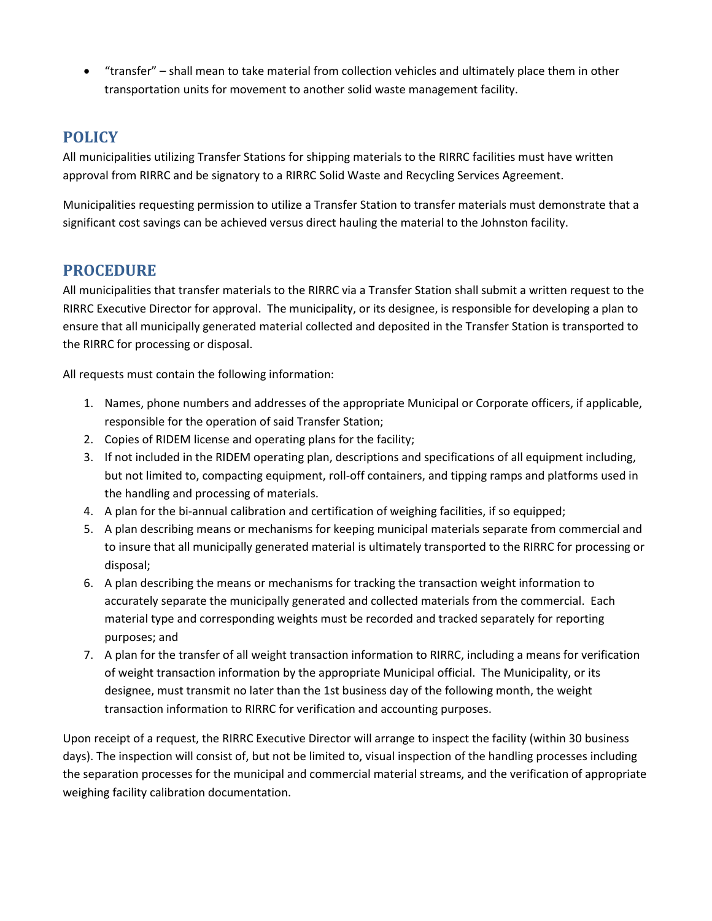"transfer" – shall mean to take material from collection vehicles and ultimately place them in other transportation units for movement to another solid waste management facility.

# **POLICY**

All municipalities utilizing Transfer Stations for shipping materials to the RIRRC facilities must have written approval from RIRRC and be signatory to a RIRRC Solid Waste and Recycling Services Agreement.

Municipalities requesting permission to utilize a Transfer Station to transfer materials must demonstrate that a significant cost savings can be achieved versus direct hauling the material to the Johnston facility.

# **PROCEDURE**

All municipalities that transfer materials to the RIRRC via a Transfer Station shall submit a written request to the RIRRC Executive Director for approval. The municipality, or its designee, is responsible for developing a plan to ensure that all municipally generated material collected and deposited in the Transfer Station is transported to the RIRRC for processing or disposal.

All requests must contain the following information:

- 1. Names, phone numbers and addresses of the appropriate Municipal or Corporate officers, if applicable, responsible for the operation of said Transfer Station;
- 2. Copies of RIDEM license and operating plans for the facility;
- 3. If not included in the RIDEM operating plan, descriptions and specifications of all equipment including, but not limited to, compacting equipment, roll-off containers, and tipping ramps and platforms used in the handling and processing of materials.
- 4. A plan for the bi-annual calibration and certification of weighing facilities, if so equipped;
- 5. A plan describing means or mechanisms for keeping municipal materials separate from commercial and to insure that all municipally generated material is ultimately transported to the RIRRC for processing or disposal;
- 6. A plan describing the means or mechanisms for tracking the transaction weight information to accurately separate the municipally generated and collected materials from the commercial. Each material type and corresponding weights must be recorded and tracked separately for reporting purposes; and
- 7. A plan for the transfer of all weight transaction information to RIRRC, including a means for verification of weight transaction information by the appropriate Municipal official. The Municipality, or its designee, must transmit no later than the 1st business day of the following month, the weight transaction information to RIRRC for verification and accounting purposes.

Upon receipt of a request, the RIRRC Executive Director will arrange to inspect the facility (within 30 business days). The inspection will consist of, but not be limited to, visual inspection of the handling processes including the separation processes for the municipal and commercial material streams, and the verification of appropriate weighing facility calibration documentation.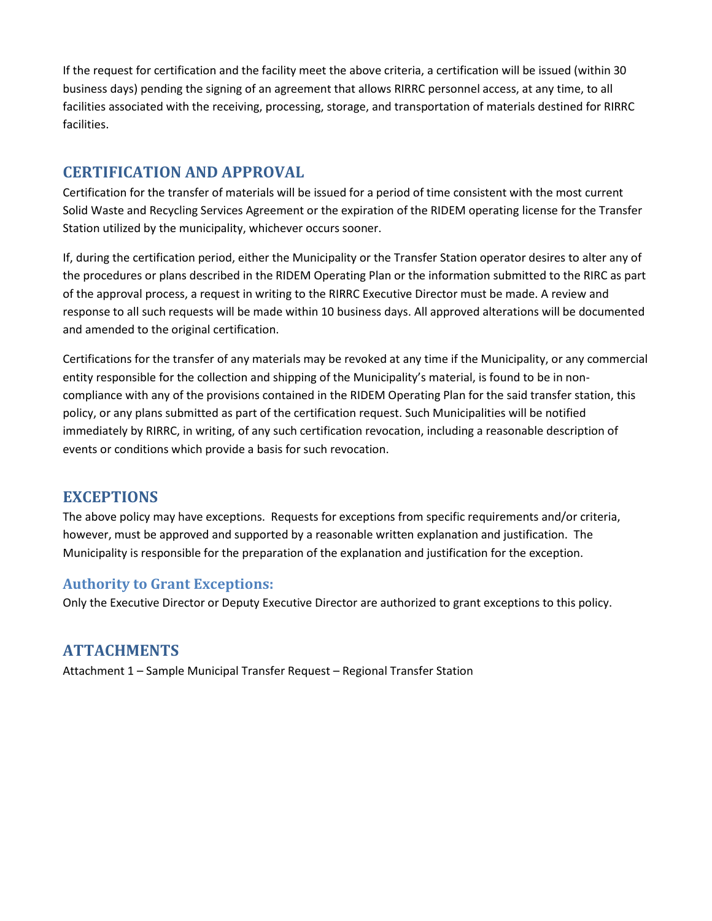If the request for certification and the facility meet the above criteria, a certification will be issued (within 30 business days) pending the signing of an agreement that allows RIRRC personnel access, at any time, to all facilities associated with the receiving, processing, storage, and transportation of materials destined for RIRRC facilities.

#### **CERTIFICATION AND APPROVAL**

Certification for the transfer of materials will be issued for a period of time consistent with the most current Solid Waste and Recycling Services Agreement or the expiration of the RIDEM operating license for the Transfer Station utilized by the municipality, whichever occurs sooner.

If, during the certification period, either the Municipality or the Transfer Station operator desires to alter any of the procedures or plans described in the RIDEM Operating Plan or the information submitted to the RIRC as part of the approval process, a request in writing to the RIRRC Executive Director must be made. A review and response to all such requests will be made within 10 business days. All approved alterations will be documented and amended to the original certification.

Certifications for the transfer of any materials may be revoked at any time if the Municipality, or any commercial entity responsible for the collection and shipping of the Municipality's material, is found to be in noncompliance with any of the provisions contained in the RIDEM Operating Plan for the said transfer station, this policy, or any plans submitted as part of the certification request. Such Municipalities will be notified immediately by RIRRC, in writing, of any such certification revocation, including a reasonable description of events or conditions which provide a basis for such revocation.

## **EXCEPTIONS**

The above policy may have exceptions. Requests for exceptions from specific requirements and/or criteria, however, must be approved and supported by a reasonable written explanation and justification. The Municipality is responsible for the preparation of the explanation and justification for the exception.

#### **Authority to Grant Exceptions:**

Only the Executive Director or Deputy Executive Director are authorized to grant exceptions to this policy.

# **ATTACHMENTS**

Attachment 1 – Sample Municipal Transfer Request – Regional Transfer Station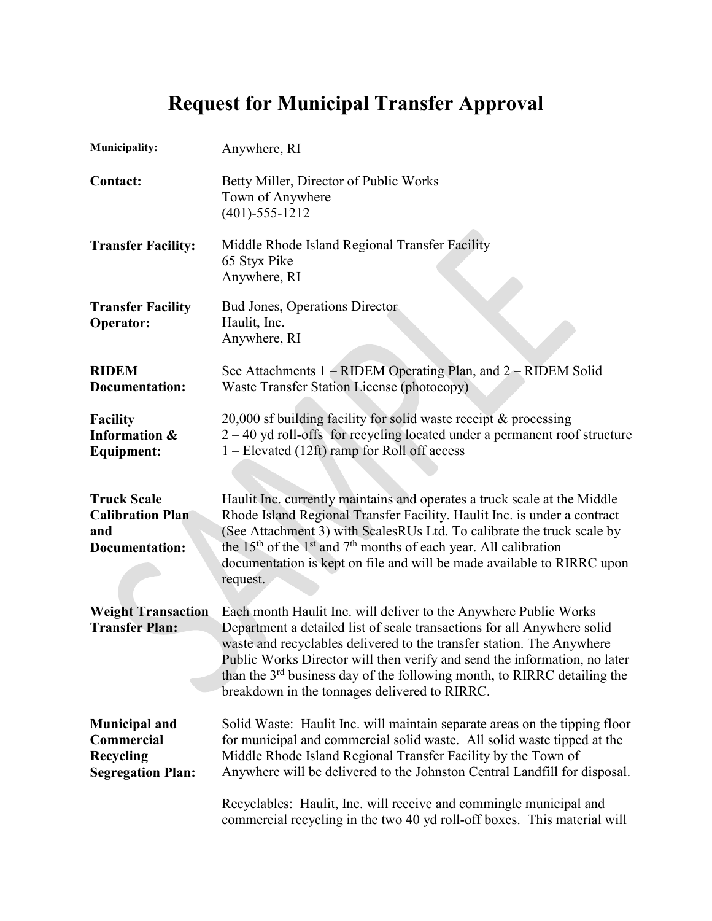# **Request for Municipal Transfer Approval**

| <b>Municipality:</b>                                                          | Anywhere, RI                                                                                                                                                                                                                                                                                                                                                                                                                               |
|-------------------------------------------------------------------------------|--------------------------------------------------------------------------------------------------------------------------------------------------------------------------------------------------------------------------------------------------------------------------------------------------------------------------------------------------------------------------------------------------------------------------------------------|
| <b>Contact:</b>                                                               | Betty Miller, Director of Public Works<br>Town of Anywhere<br>$(401) - 555 - 1212$                                                                                                                                                                                                                                                                                                                                                         |
| <b>Transfer Facility:</b>                                                     | Middle Rhode Island Regional Transfer Facility<br>65 Styx Pike<br>Anywhere, RI                                                                                                                                                                                                                                                                                                                                                             |
| <b>Transfer Facility</b><br><b>Operator:</b>                                  | <b>Bud Jones, Operations Director</b><br>Haulit, Inc.<br>Anywhere, RI                                                                                                                                                                                                                                                                                                                                                                      |
| <b>RIDEM</b><br><b>Documentation:</b>                                         | See Attachments 1 – RIDEM Operating Plan, and 2 – RIDEM Solid<br>Waste Transfer Station License (photocopy)                                                                                                                                                                                                                                                                                                                                |
| Facility<br><b>Information &amp;</b><br><b>Equipment:</b>                     | 20,000 sf building facility for solid waste receipt $\&$ processing<br>$2 - 40$ yd roll-offs for recycling located under a permanent roof structure<br>1 – Elevated (12ft) ramp for Roll off access                                                                                                                                                                                                                                        |
| <b>Truck Scale</b><br><b>Calibration Plan</b><br>and<br><b>Documentation:</b> | Haulit Inc. currently maintains and operates a truck scale at the Middle<br>Rhode Island Regional Transfer Facility. Haulit Inc. is under a contract<br>(See Attachment 3) with ScalesRUs Ltd. To calibrate the truck scale by<br>the 15 <sup>th</sup> of the 1 <sup>st</sup> and $7th$ months of each year. All calibration<br>documentation is kept on file and will be made available to RIRRC upon<br>request.                         |
| <b>Weight Transaction</b><br><b>Transfer Plan:</b>                            | Each month Haulit Inc. will deliver to the Anywhere Public Works<br>Department a detailed list of scale transactions for all Anywhere solid<br>waste and recyclables delivered to the transfer station. The Anywhere<br>Public Works Director will then verify and send the information, no later<br>than the 3 <sup>rd</sup> business day of the following month, to RIRRC detailing the<br>breakdown in the tonnages delivered to RIRRC. |
| <b>Municipal and</b><br>Commercial<br>Recycling<br><b>Segregation Plan:</b>   | Solid Waste: Haulit Inc. will maintain separate areas on the tipping floor<br>for municipal and commercial solid waste. All solid waste tipped at the<br>Middle Rhode Island Regional Transfer Facility by the Town of<br>Anywhere will be delivered to the Johnston Central Landfill for disposal.                                                                                                                                        |
|                                                                               | Recyclables: Haulit, Inc. will receive and commingle municipal and<br>commercial recycling in the two 40 yd roll-off boxes. This material will                                                                                                                                                                                                                                                                                             |